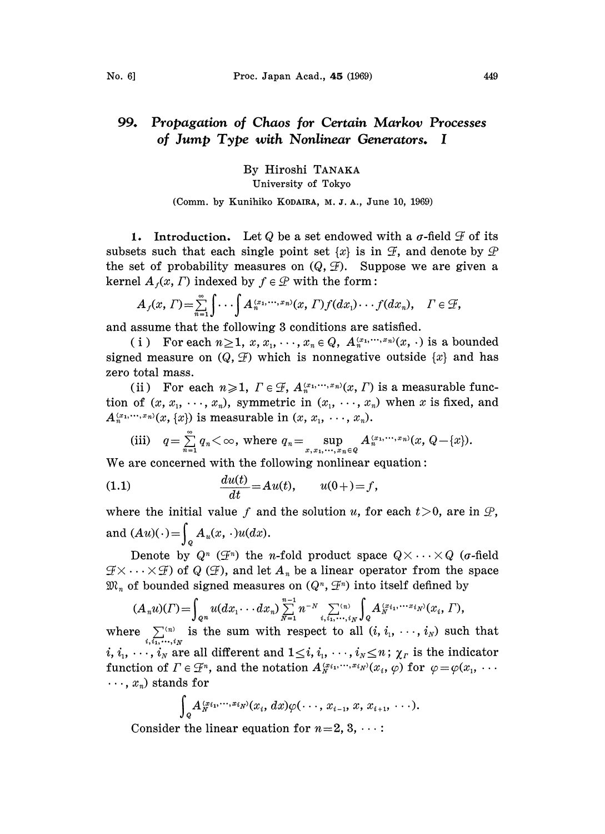## 99. Propagation of Chaos for Certain Markov Processes of Jump Type with Nonlinear Generators. <sup>I</sup>

By Hiroshi TANAKA

## University of Tokyo

## (Comm. by Kunihiko KODAIRA, M.J.A., June 10, 1969)

1. Introduction. Let Q be a set endowed with a  $\sigma$ -field  $\mathcal F$  of its subsets such that each single point set  $\{x\}$  is in  $\mathcal{F}$ , and denote by  $\mathcal{P}$ the set of probability measures on  $(Q, \mathcal{F})$ . Suppose we are given a kernel  $A_i(x, \Gamma)$  indexed by  $f \in \mathcal{D}$  with the form:

$$
A_f(x,\Gamma)=\sum_{n=1}^{\infty}\int\cdots\int A_n^{(x_1,\cdots,x_n)}(x,\Gamma)f(dx_1)\cdots f(dx_n),\quad \Gamma\in\mathcal{F},
$$

and assume that the following 8 conditions are satisfied.

(i) For each  $n \geq 1$ ,  $x, x_1, \dots, x_n \in Q$ ,  $A_n^{(x_1, \dots, x_n)}(x, \cdot)$  is a bounded signed measure on  $(Q, \mathcal{F})$  which is nonnegative outside  $\{x\}$  and has zero total mass.

(ii) For each  $n \geq 1$ ,  $\Gamma \in \mathcal{F}$ ,  $A_n^{(x_1, \cdots, x_n)}(x, \Gamma)$  is a measurable function of  $(x, x_1, \dots, x_n)$ , symmetric in  $(x_1, \dots, x_n)$  when x is fixed, and  $A_n^{(x_1,\dots,x_n)}(x,\{x\})$  is measurable in  $(x, x_1, \dots, x_n)$ .

(iii) 
$$
q = \sum_{n=1}^{\infty} q_n < \infty
$$
, where  $q_n = \sup_{x, x_1, \dots, x_n \in Q} A_n^{(x_1, \dots, x_n)}(x, Q - \{x\})$ .

We are concerned with the following nonlinear equation:

(1.1) 
$$
\frac{du(t)}{dt} = Au(t), \qquad u(0+) = f,
$$

where the initial value f and the solution u, for each  $t > 0$ , are in  $\mathcal{P}$ , and  $(Au)(\cdot) = \int_{Q} A_u(x, \cdot)u(dx)$ .

Denote by  $Q^n$  ( $\mathcal{F}^n$ ) the *n*-fold product space  $Q \times \cdots \times Q$  (*a*-field  $\mathcal{F} \times \cdots \times \mathcal{F}$  of Q ( $\mathcal{F}$ ), and let  $A_n$  be a linear operator from the space  $\mathfrak{M}_n$  of bounded signed measures on  $(Q^n, \mathcal{F}^n)$  into itself defined by

$$
(A_n u)(\Gamma) = \int_{Q^n} u(dx_1 \cdots dx_n) \sum_{N=1}^{n-1} n^{-N} \sum_{i, i_1, \dots, i_N}^{(n)} \int_Q A_N^{(x_{i_1}, \dots, x_{i_N})}(x_i, \Gamma),
$$

where  $\sum^{(n)}$  is the sum with respect to all  $(i, i_1, \dots, i_N)$  such that  $i, \overleftrightarrow{i_1,\cdots,i_N}$ i,  $i_1, \ldots, i_N$  are all different and  $1 \leq i, i_1, \ldots, i_N \leq n$ ;  $\chi_r$  is the indicator function of  $\Gamma \in \mathcal{F}^n$ , and the notation  $A_N^{(x_i,...,x_i_N)}(x_i, \varphi)$  for  $\varphi = \varphi(x_1, x_2, \varphi)$  $\ldots$ ,  $x_n$ ) stands for

$$
\int_{Q} A_{N}^{(x_{i_1},\ldots,x_{i_N})}(x_i,dx)\varphi(\cdots,x_{i-1},x,x_{i+1},\cdots).
$$

Consider the linear equation for  $n=2, 3, \ldots$ :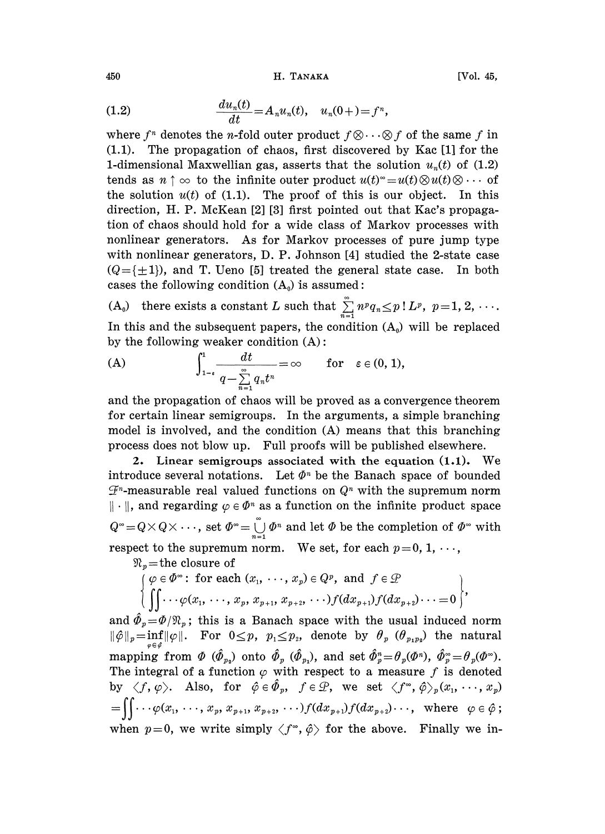450 **H. ТАНАКА** [Vol. 45,

(1.2) 
$$
\frac{du_n(t)}{dt} = A_n u_n(t), \quad u_n(0+) = f^n,
$$

where  $f^n$  denotes the *n*-fold outer product  $f \otimes \cdots \otimes f$  of the same f in (1.1). The propagation of chaos, first discovered by Kac [1] for the The propagation of chaos, first discovered by Kac [1] for the 1-dimensional Maxwellian gas, asserts that the solution  $u_n(t)$  of (1.2) tends as  $n \uparrow \infty$  to the infinite outer product  $u(t) \circ u(t) \otimes u(t) \otimes \cdots$  of the solution  $u(t)$  of (1.1). The proof of this is our object. In this direction, H. P. McKean [2] [3] first pointed out that Kac's propagation of chaos should hold for a wide class of Markov processes with nonlinear generators. As for Markov processes of pure jump type with nonlinear generators, D. P. Johnson [4] studied the 2-state case  $(Q=\{\pm 1\})$ , and T. Ueno [5] treated the general state case. In both cases the following condition  $(A_0)$  is assumed:

 $(A_0)$  there exists a constant L such that  $\sum_{n=1}^{\infty} n^p q_n \leq p! L^p$ ,  $p=1, 2, \cdots$ . In this and the subsequent papers, the condition  $(A_0)$  will be replaced by the following weaker condition (A):

(A) 
$$
\int_{1-\epsilon}^{1} \frac{dt}{q-\sum_{n=1}^{\infty}q_nt^n} = \infty \quad \text{for} \quad \varepsilon \in (0, 1),
$$

and the propagation of chaos will be proved as a convergence theorem for certain linear semigroups. In the arguments, a simple branching model is involved, and the condition (A) means that this branching process does not blow up. Full proofs will be published elsewhere.

2. Linear semigroups associated with the equation (1.1). We introduce several notations. Let  $\Phi^n$  be the Banach space of bounded  $\mathcal{F}^n$ -measurable real valued functions on  $Q^n$  with the supremum norm  $\|\cdot\|$ , and regarding  $\varphi \in \Phi^n$  as a function on the infinite product space  $Q^{\infty} = Q \times Q \times \cdots$ , set  $\Phi^{\infty} = \bigcup_{n=1}^{\infty} \Phi^n$  and let  $\Phi$  be the completion of  $\Phi^{\infty}$  with respect to the supremum norm. We set, for each  $p=0, 1, \dots$ ,

 $\mathfrak{R}_v$ =the closure of

$$
\begin{array}{l} \displaystyle\{\varphi\in \varPhi^\infty\colon \text{ for each } (x_1,\; \cdots,\; x_p)\in Q^p, \, \text{ and }\; f\in \mathcal{P} \; \\\displaystyle\left\{\;\int\!\!\!\int\cdots \varphi(x_1,\; \cdots,\; x_p,\; x_{p+1},\; x_{p+2},\; \cdots)\;\!f(d x_{p+1})f(d x_{p+2})\cdots\!=\!0\;\right\}\!,\end{array}
$$

and  $\hat{\Phi}_p = \Phi/\Re_p$ ; this is a Banach space with the usual induced norm  $\|\hat{\varphi}\|_p=\inf_{\varphi}\|\varphi\|$ . For  $0\leq p$ ,  $p_1\leq p_2$ , denote by  $\theta_p$  ( $\theta_{p_1p_2}$ ) the natural mapping from  $\Phi$  ( $\hat{\Phi}_{p_2}$ ) onto  $\hat{\Phi}_p$  ( $\hat{\Phi}_{p_1}$ ), and set  $\hat{\Phi}_p^* = \theta_p(\Phi^p)$ ,  $\hat{\Phi}_p^* = \theta_p(\Phi^{\circ})$ . The integral of a function  $\varphi$  with respect to a measure f is denoted by  $\langle f, \varphi \rangle$ . Also, for  $\hat{\varphi} \in \hat{\Phi}_p$ ,  $f \in \mathcal{D}$ , we set  $\langle f^\infty, \hat{\varphi} \rangle_p(x_1, \dots, x_p)$  $=\iint\cdots\varphi(x_1,\ldots,x_p,\,x_{p+1},\,x_{p+2},\ldots)f(dx_{p+1})f(dx_{p+2})\cdots,$  where  $\varphi\in\hat{\varphi}$ ; when  $p=0$ , we write simply  $\langle f^{\infty}, \hat{\varphi} \rangle$  for the above. Finally we in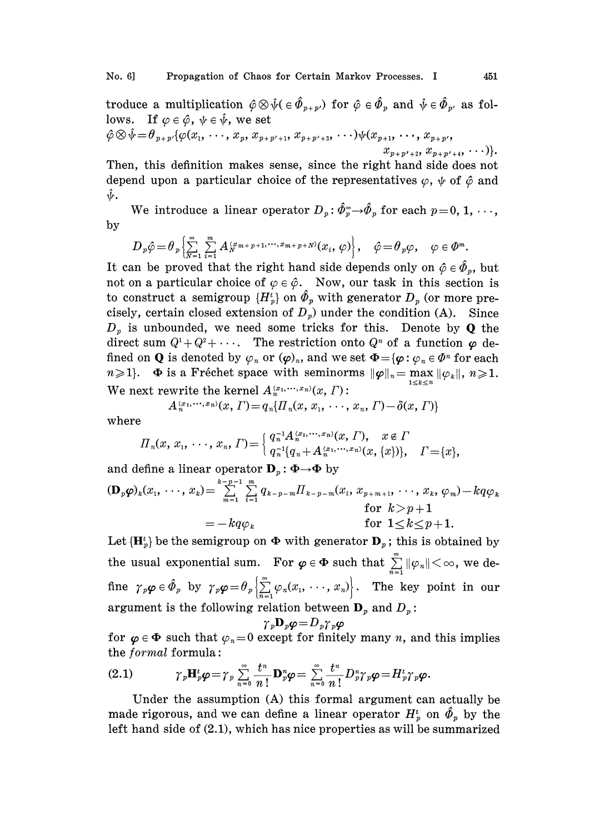troduce a multiplication  $\hat{\varphi} \otimes \hat{\psi} \in \hat{\Phi}_{p+p'}$  for  $\hat{\varphi} \in \hat{\Phi}_p$  and  $\hat{\psi} \in \hat{\Phi}_{p'}$  as follows. If  $\varphi \in \hat{\varphi}$ ,  $\psi \in \hat{\psi}$ , we set  $\hat{\varphi} \otimes \hat{\psi} = \theta_{p+p'}\{\varphi(x_1, \ldots, x_p, x_{p+p'+1}, x_{p+p'+3}, \ldots)\psi(x_{p+1}, \ldots, x_{p+p'},\})$  $x_{p+p'+2}, x_{p+p'+4}, \ldots$  ).

Then, this definition makes sense, since the right hand side does not depend upon a particular choice of the representatives  $\varphi$ ,  $\psi$  of  $\hat{\varphi}$  and ŷ.

We introduce a linear operator  $D_p: \hat{\phi}_p^* \rightarrow \hat{\phi}_p$  for each  $p=0, 1, \dots$ , by

$$
D_p \hat{\varphi} = \theta_p \left\{ \sum_{N=1}^{\infty} \sum_{i=1}^m A_N^{(x_{m+p+1}, \dots, x_{m+p+N})} (x_i, \varphi) \right\}, \quad \hat{\varphi} = \theta_p \varphi, \quad \varphi \in \Phi^m.
$$

It can be proved that the right hand side depends only on  $\hat{\varphi} \in \hat{\varPhi}_v$ , but not on a particular choice of  $\varphi \in \hat{\varphi}$ . Now, our task in this section is to construct a semigroup  $\{H_p^t\}$  on  $\hat{\Phi}_p$  with generator  $D_p$  (or more precisely, certain closed extension of  $D<sub>p</sub>$ ) under the condition (A). Since  $D_p$  is unbounded, we need some tricks for this. Denote by **Q** the direct sum  $Q^1 + Q^2 + \cdots$ . The restriction onto  $Q^n$  of a function  $\varphi$  defined on **Q** is denoted by  $\varphi_n$  or  $(\varphi)_n$ , and we set  $\Phi = {\varphi : \varphi_n \in \Phi^n}$  for each  $n \geqslant 1$ .  $\Phi$  is a Fréchet space with seminorms  $\|\varphi\|_n = \max_{1 \leq k \leq n} \|\varphi_k\|$ ,  $n \geqslant 1$ . We next rewrite the kernel  $A_n^{(x_1,\cdots,x_n)}(x, \Gamma)$ :

$$
A_n^{(x_1,\cdots,x_n)}(x,\Gamma) = q_n\{ \Pi_n(x,\,x_1,\,\cdots,\,x_n,\,\Gamma) - \delta(x,\,\Gamma) \}
$$

where

$$
\Pi_n(x, x_1, \dots, x_n, \Gamma) = \begin{cases} q_n^{-1} A_n^{(x_1, \dots, x_n)}(x, \Gamma), & x \in \Gamma \\ q_n^{-1} (q_n + A_n^{(x_1, \dots, x_n)}(x, \{x\}) \}, & \Gamma = \{x\}, \end{cases}
$$

 $\Pi_n(x, x_1, \dots, x_n, \Gamma) = \begin{cases} q_n^{-1} A_n^{(x_1, \dots, x_n)}(x, \Gamma), & x \in I' \\ q_n^{-1} \{q_n + A_n^{(x_1, \dots, x_n)}(x, \{x\})\}, & \Gamma = 0 \end{cases}$ <br>and define a linear operator  $\mathbf{D}_p : \Phi \to \Phi$  by<br> $(\mathbf{D}_p \boldsymbol{\varphi})_k(x_1, \dots, x_k) = \sum_{m=1}^{k-p-1} \sum_{i=1}^m q_{k-p-m} \Pi_{k-p-m}(x_i, x_{$  $-kq\varphi_k$  for  $1 \leq k \leq p+1$ .

Let  ${H<sub>b</sub><sup>t</sup>}$  be the semigroup on  $\Phi$  with generator  ${\bf D}_p$ ; this is obtained by the usual exponential sum. For  $\varphi \in \Phi$  such that  $\sum_{n=1}^{\infty} ||\varphi_n|| < \infty$ , we define  $\gamma_p \varphi \in \hat{\Phi}_p$  by  $\gamma_p \varphi = \theta_p \left\{ \sum_{n=1}^{\infty} \varphi_n(x_1, \dots, x_n) \right\}$ . The key point in our argument is the following relation between  $\mathbf{D}_p$  and  $D_p$ :

$$
\gamma_{p}\mathbf{D}_{p}\boldsymbol{\varphi} = D_{p}\gamma_{p}\boldsymbol{\varphi}
$$

for  $\varphi \in \Phi$  such that  $\varphi_n=0$  except for finitely many n, and this implies the formal formula:

\n (2.1)\n 
$$
\gamma_p \mathbf{H}_p^t \varphi = \gamma_p \sum_{n=0}^\infty \frac{t^n}{n!} \mathbf{D}_p^n \varphi = \sum_{n=0}^\infty \frac{t^n}{n!} D_p^n \gamma_p \varphi = H_p^t \gamma_p \varphi.
$$
\n

 $\gamma_p \mathbf{H}_p^t \boldsymbol{\varphi} = \gamma_p \sum_{n=0}^{\infty} \frac{t^n}{n!} \mathbf{D}_p^n$ <br>the assumption (A)<br>us, and we can defin<br>de of (2.1), which has Under the assumption (A) this formal argument can actually be made rigorous, and we can define a linear operator  $H_p^i$  on  $\hat{\Phi}_p$  by the left hand side of (2.1), which has nice properties as will be summarized